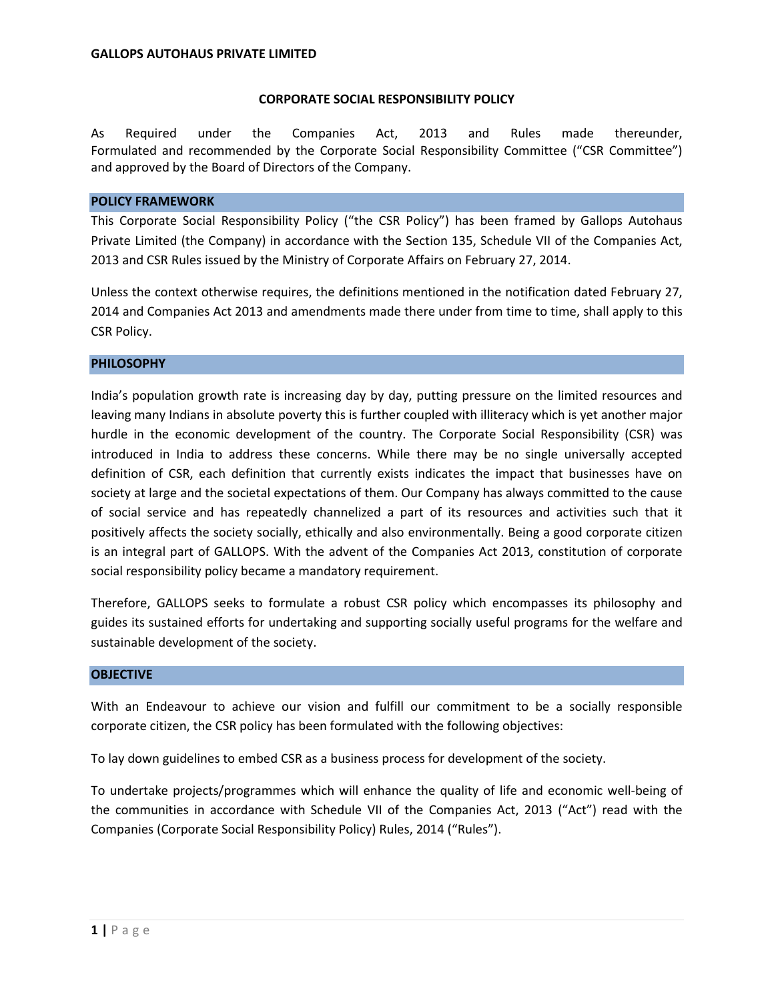## **GALLOPS AUTOHAUS PRIVATE LIMITED**

#### **CORPORATE SOCIAL RESPONSIBILITY POLICY**

As Required under the Companies Act, 2013 and Rules made thereunder, Formulated and recommended by the Corporate Social Responsibility Committee ("CSR Committee") and approved by the Board of Directors of the Company.

# **POLICY FRAMEWORK**

This Corporate Social Responsibility Policy ("the CSR Policy") has been framed by Gallops Autohaus Private Limited (the Company) in accordance with the Section 135, Schedule VII of the Companies Act, 2013 and CSR Rules issued by the Ministry of Corporate Affairs on February 27, 2014.

Unless the context otherwise requires, the definitions mentioned in the notification dated February 27, 2014 and Companies Act 2013 and amendments made there under from time to time, shall apply to this CSR Policy.

## **PHILOSOPHY**

India's population growth rate is increasing day by day, putting pressure on the limited resources and leaving many Indians in absolute poverty this is further coupled with illiteracy which is yet another major hurdle in the economic development of the country. The Corporate Social Responsibility (CSR) was introduced in India to address these concerns. While there may be no single universally accepted definition of CSR, each definition that currently exists indicates the impact that businesses have on society at large and the societal expectations of them. Our Company has always committed to the cause of social service and has repeatedly channelized a part of its resources and activities such that it positively affects the society socially, ethically and also environmentally. Being a good corporate citizen is an integral part of GALLOPS. With the advent of the Companies Act 2013, constitution of corporate social responsibility policy became a mandatory requirement.

Therefore, GALLOPS seeks to formulate a robust CSR policy which encompasses its philosophy and guides its sustained efforts for undertaking and supporting socially useful programs for the welfare and sustainable development of the society.

#### **OBJECTIVE**

With an Endeavour to achieve our vision and fulfill our commitment to be a socially responsible corporate citizen, the CSR policy has been formulated with the following objectives:

To lay down guidelines to embed CSR as a business process for development of the society.

To undertake projects/programmes which will enhance the quality of life and economic well-being of the communities in accordance with Schedule VII of the Companies Act, 2013 ("Act") read with the Companies (Corporate Social Responsibility Policy) Rules, 2014 ("Rules").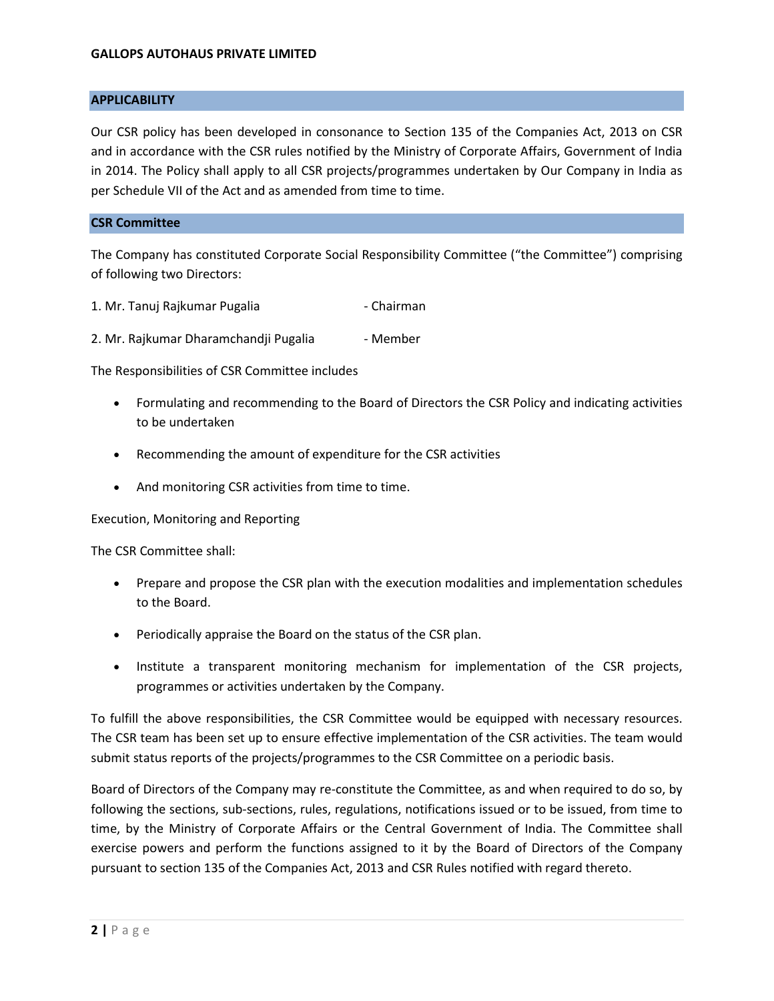# **APPLICABILITY**

Our CSR policy has been developed in consonance to Section 135 of the Companies Act, 2013 on CSR and in accordance with the CSR rules notified by the Ministry of Corporate Affairs, Government of India in 2014. The Policy shall apply to all CSR projects/programmes undertaken by Our Company in India as per Schedule VII of the Act and as amended from time to time.

# **CSR Committee**

The Company has constituted Corporate Social Responsibility Committee ("the Committee") comprising of following two Directors:

- 1. Mr. Tanuj Rajkumar Pugalia **1. Mr. Tanuj Rajkumar Pugalia**
- 2. Mr. Rajkumar Dharamchandji Pugalia Member

The Responsibilities of CSR Committee includes

- Formulating and recommending to the Board of Directors the CSR Policy and indicating activities to be undertaken
- Recommending the amount of expenditure for the CSR activities
- And monitoring CSR activities from time to time.

Execution, Monitoring and Reporting

The CSR Committee shall:

- Prepare and propose the CSR plan with the execution modalities and implementation schedules to the Board.
- Periodically appraise the Board on the status of the CSR plan.
- Institute a transparent monitoring mechanism for implementation of the CSR projects, programmes or activities undertaken by the Company.

To fulfill the above responsibilities, the CSR Committee would be equipped with necessary resources. The CSR team has been set up to ensure effective implementation of the CSR activities. The team would submit status reports of the projects/programmes to the CSR Committee on a periodic basis.

Board of Directors of the Company may re-constitute the Committee, as and when required to do so, by following the sections, sub-sections, rules, regulations, notifications issued or to be issued, from time to time, by the Ministry of Corporate Affairs or the Central Government of India. The Committee shall exercise powers and perform the functions assigned to it by the Board of Directors of the Company pursuant to section 135 of the Companies Act, 2013 and CSR Rules notified with regard thereto.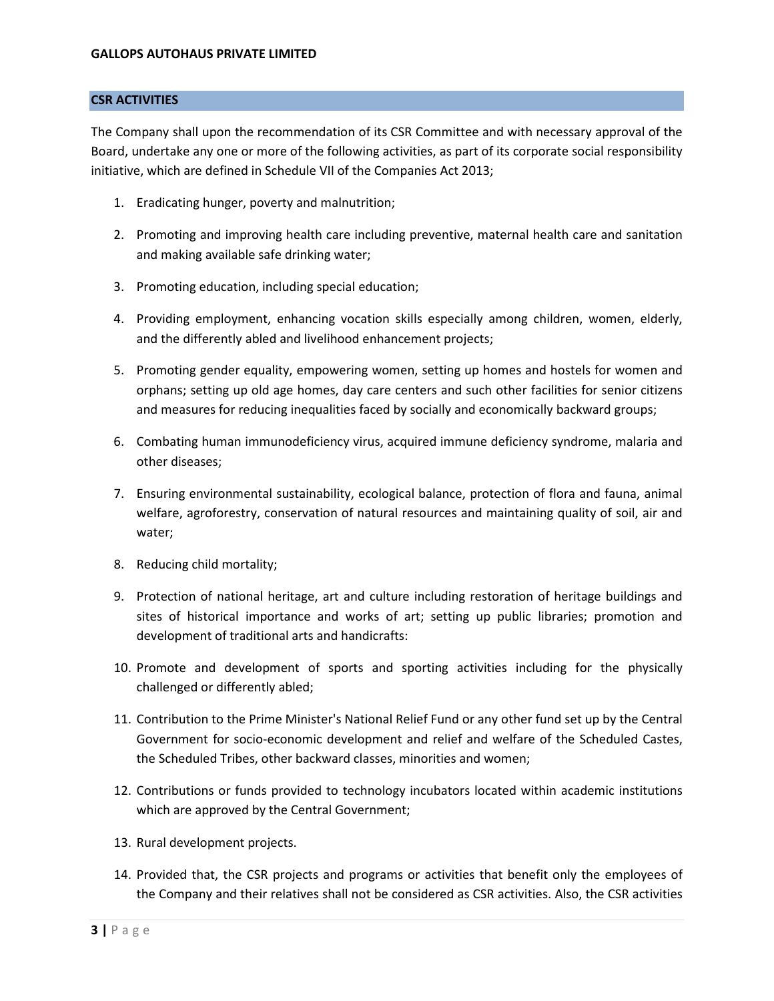# **CSR ACTIVITIES**

The Company shall upon the recommendation of its CSR Committee and with necessary approval of the Board, undertake any one or more of the following activities, as part of its corporate social responsibility initiative, which are defined in Schedule VII of the Companies Act 2013;

- 1. Eradicating hunger, poverty and malnutrition;
- 2. Promoting and improving health care including preventive, maternal health care and sanitation and making available safe drinking water;
- 3. Promoting education, including special education;
- 4. Providing employment, enhancing vocation skills especially among children, women, elderly, and the differently abled and livelihood enhancement projects;
- 5. Promoting gender equality, empowering women, setting up homes and hostels for women and orphans; setting up old age homes, day care centers and such other facilities for senior citizens and measures for reducing inequalities faced by socially and economically backward groups;
- 6. Combating human immunodeficiency virus, acquired immune deficiency syndrome, malaria and other diseases;
- 7. Ensuring environmental sustainability, ecological balance, protection of flora and fauna, animal welfare, agroforestry, conservation of natural resources and maintaining quality of soil, air and water;
- 8. Reducing child mortality;
- 9. Protection of national heritage, art and culture including restoration of heritage buildings and sites of historical importance and works of art; setting up public libraries; promotion and development of traditional arts and handicrafts:
- 10. Promote and development of sports and sporting activities including for the physically challenged or differently abled;
- 11. Contribution to the Prime Minister's National Relief Fund or any other fund set up by the Central Government for socio-economic development and relief and welfare of the Scheduled Castes, the Scheduled Tribes, other backward classes, minorities and women;
- 12. Contributions or funds provided to technology incubators located within academic institutions which are approved by the Central Government;
- 13. Rural development projects.
- 14. Provided that, the CSR projects and programs or activities that benefit only the employees of the Company and their relatives shall not be considered as CSR activities. Also, the CSR activities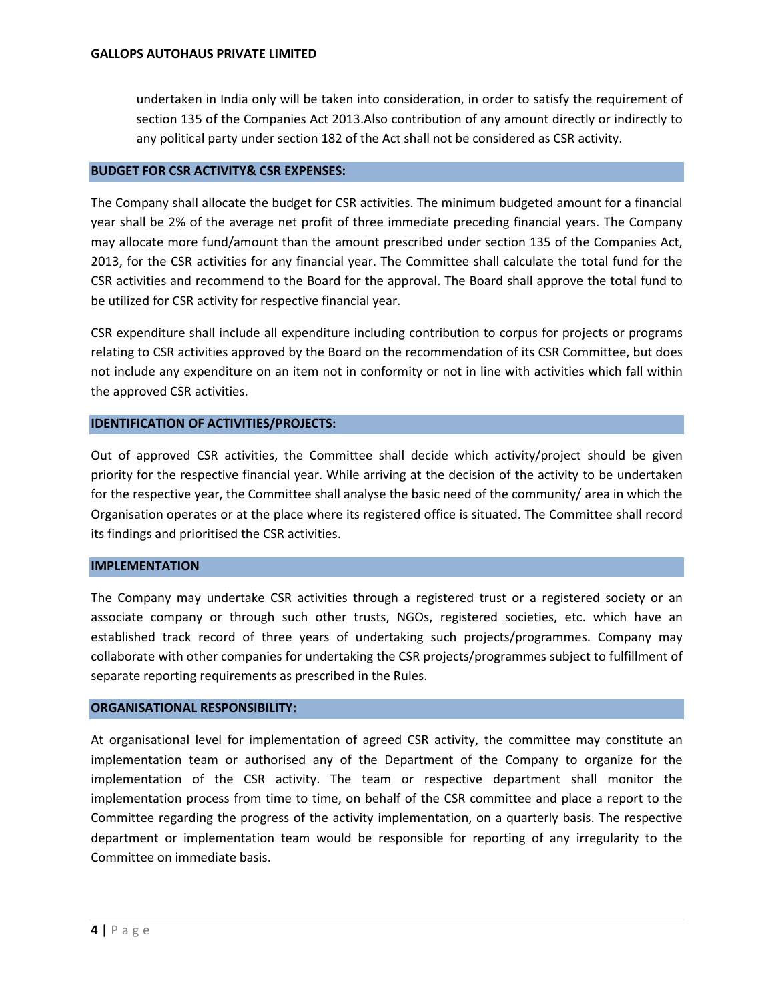undertaken in India only will be taken into consideration, in order to satisfy the requirement of section 135 of the Companies Act 2013.Also contribution of any amount directly or indirectly to any political party under section 182 of the Act shall not be considered as CSR activity.

# **BUDGET FOR CSR ACTIVITY& CSR EXPENSES:**

The Company shall allocate the budget for CSR activities. The minimum budgeted amount for a financial year shall be 2% of the average net profit of three immediate preceding financial years. The Company may allocate more fund/amount than the amount prescribed under section 135 of the Companies Act, 2013, for the CSR activities for any financial year. The Committee shall calculate the total fund for the CSR activities and recommend to the Board for the approval. The Board shall approve the total fund to be utilized for CSR activity for respective financial year.

CSR expenditure shall include all expenditure including contribution to corpus for projects or programs relating to CSR activities approved by the Board on the recommendation of its CSR Committee, but does not include any expenditure on an item not in conformity or not in line with activities which fall within the approved CSR activities.

# **IDENTIFICATION OF ACTIVITIES/PROJECTS:**

Out of approved CSR activities, the Committee shall decide which activity/project should be given priority for the respective financial year. While arriving at the decision of the activity to be undertaken for the respective year, the Committee shall analyse the basic need of the community/ area in which the Organisation operates or at the place where its registered office is situated. The Committee shall record its findings and prioritised the CSR activities.

## **IMPLEMENTATION**

The Company may undertake CSR activities through a registered trust or a registered society or an associate company or through such other trusts, NGOs, registered societies, etc. which have an established track record of three years of undertaking such projects/programmes. Company may collaborate with other companies for undertaking the CSR projects/programmes subject to fulfillment of separate reporting requirements as prescribed in the Rules.

## **ORGANISATIONAL RESPONSIBILITY:**

At organisational level for implementation of agreed CSR activity, the committee may constitute an implementation team or authorised any of the Department of the Company to organize for the implementation of the CSR activity. The team or respective department shall monitor the implementation process from time to time, on behalf of the CSR committee and place a report to the Committee regarding the progress of the activity implementation, on a quarterly basis. The respective department or implementation team would be responsible for reporting of any irregularity to the Committee on immediate basis.